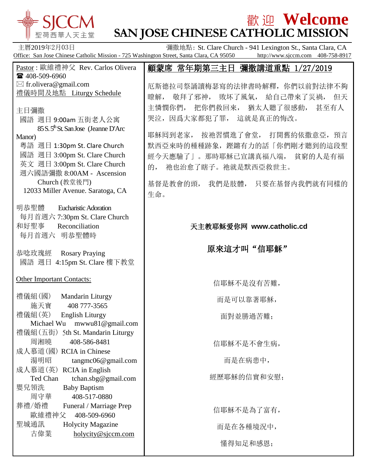

## **歡迎 Welcome SAN JOSE CHINESE CATHOLIC MISSION**

主曆2019年2月03日 彌撒地點: St. Clare Church - 941 Lexington St., Santa Clara, CA Office: San Jose Chinese Catholic Mission - 725 Washington Street, Santa Clara, CA 95050 http://www.sjccm.com 408-758-8917 Pastor : 歐維禮神父 Rev. Carlos Olivera ■ 408-509-6960  $\boxtimes$  fr.olivera@gmail.com 禮儀時間及地點 Liturgy Schedule 顧蒙席 常年期第三主日 彌撒講道重點 1/27/2019 厄斯德拉司祭誦讀梅瑟寫的法律書時解釋,你們以前對法律不夠

主日彌撒

- 國語 週日 9:00am 五街老人公寓 85 S. 5<sup>th</sup> St. San Jose (Jeanne D'Arc) Manor)
- 粵語 週日 1:30pm St. Clare Church 國語 週日 3:00pm St. Clare Church 英文 週日 3:00pm St. Clare Church
- 週六國語彌撒 8:00AM Ascension Church (教堂後門) 12033 Miller Avenue. Saratoga, CA
- 明恭聖體 Eucharistic Adoration 每月首週六 7:30pm St. Clare Church 和好聖事 Reconciliation 每月首週六 明恭聖體時
- 恭唸玫瑰經 Rosary Praying 國語 週日 4:15pm St. Clare 樓下教堂

Other Important Contacts:

| 禮儀組(國)                         | Mandarin Liturgy         |  |
|--------------------------------|--------------------------|--|
| 施天寶                            | 408 777-3565             |  |
| 禮儀組(英)                         | English Liturgy          |  |
| Michael Wu<br>mwwu81@gmail.com |                          |  |
| 禮儀組(五街)                        | 5th St. Mandarin Liturgy |  |
| 周湘曉                            | 408-586-8481             |  |
|                                | 成人慕道(國) RCIA in Chinese  |  |
| 湯明昭                            | tangmc06@gmail.com       |  |
| 成人慕道(英)                        | <b>RCIA</b> in English   |  |
| Ted Chan                       | tchan.sbg@gmail.com      |  |
| 嬰兒領洗                           | <b>Baby Baptism</b>      |  |
| 周守華                            | 408-517-0880             |  |
| 葬禮/婚禮                          | Funeral / Marriage Prep  |  |
| 歐維禮神父                          | 408-509-6960             |  |
| 聖城通訊                           | <b>Holycity Magazine</b> |  |
| 古偉業                            | holycity@sjccm.com       |  |
|                                |                          |  |

瞭解, 敬拜了邪神, 敗坏了風氣, 給自己帶來了災禍, 但天 主憐憫你們, 把你們救回來, 猶太人聽了很感動, 甚至有人 哭泣,因爲大家都犯了罪, 這就是真正的悔改。

耶穌回到老家, 按祂習慣進了會堂, 打開舊約依撒意亞, 預言 默西亞來時的種種跡象,鏗鏘有力的話「你們剛才聽到的這段聖 經今天應驗了」。那時耶穌已宣講真福八端, 貧窮的人是有福 的, 祂也治愈了瞎子。祂就是默西亞救世主。

基督是教會的頭, 我們是肢體, 只要在基督内我們就有同樣的 生命。

## 天主教耶稣爱你网 **www.catholic.cd**

原來這才叫"信耶穌"

信耶穌不是沒有苦難,

而是可以靠著耶穌,

面對並勝過苦難;

信耶穌不是不會生病,

而是在病患中,

經歷耶穌的信實和安慰;

信耶穌不是為了富有, 而是在各種境況中,

懂得知足和感恩;